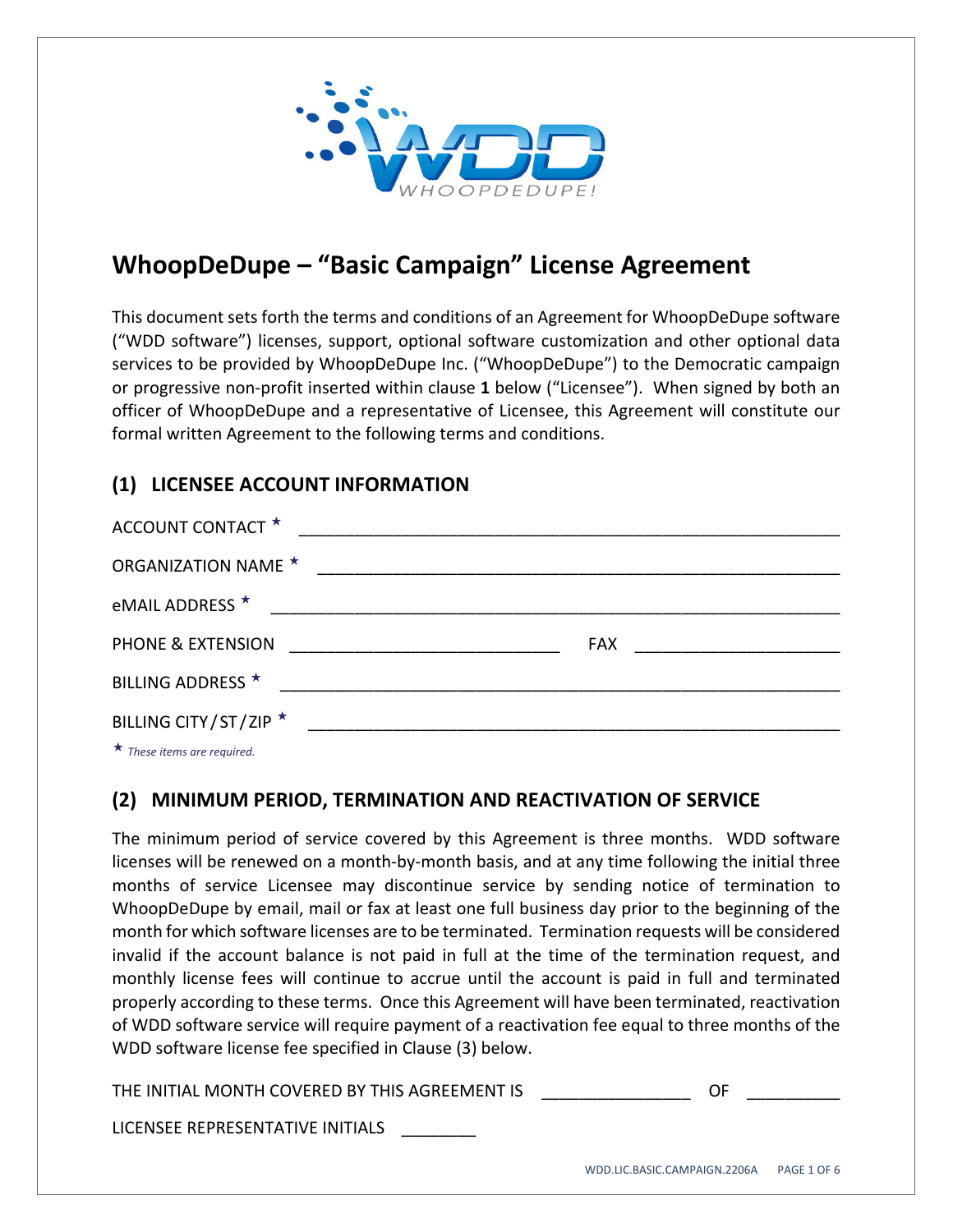

# **WhoopDeDupe – "Basic Campaign" License Agreement**

This document sets forth the terms and conditions of an Agreement for WhoopDeDupe software ("WDD software") licenses, support, optional software customization and other optional data services to be provided by WhoopDeDupe Inc. ("WhoopDeDupe") to the Democratic campaign or progressive non‐profit inserted within clause **1** below ("Licensee"). When signed by both an officer of WhoopDeDupe and a representative of Licensee, this Agreement will constitute our formal written Agreement to the following terms and conditions.

# **(1) LICENSEE ACCOUNT INFORMATION**

| ACCOUNT CONTACT *                                                                                                                                                                                                                    |                                                                                                                      |                                |
|--------------------------------------------------------------------------------------------------------------------------------------------------------------------------------------------------------------------------------------|----------------------------------------------------------------------------------------------------------------------|--------------------------------|
| <b>ORGANIZATION NAME ★</b>                                                                                                                                                                                                           | <u> 2000 - 2000 - 2000 - 2000 - 2000 - 2000 - 2000 - 2000 - 2000 - 2000 - 2000 - 2000 - 2000 - 2000 - 2000 - 200</u> |                                |
| eMAIL ADDRESS ★                                                                                                                                                                                                                      |                                                                                                                      |                                |
| PHONE & EXTENSION                                                                                                                                                                                                                    |                                                                                                                      | FAX __________________________ |
| BILLING ADDRESS *                                                                                                                                                                                                                    |                                                                                                                      |                                |
| BILLING CITY/ST/ZIP ★                                                                                                                                                                                                                |                                                                                                                      |                                |
| $\mathbf{r}$ and $\mathbf{r}$ are all the set of the set of the set of the set of the set of the set of the set of the set of the set of the set of the set of the set of the set of the set of the set of the set of the set of the |                                                                                                                      |                                |

*These items are required.*

#### **(2) MINIMUM PERIOD, TERMINATION AND REACTIVATION OF SERVICE**

The minimum period of service covered by this Agreement is three months. WDD software licenses will be renewed on a month‐by‐month basis, and at any time following the initial three months of service Licensee may discontinue service by sending notice of termination to WhoopDeDupe by email, mail or fax at least one full business day prior to the beginning of the month for which software licenses are to be terminated. Termination requests will be considered invalid if the account balance is not paid in full at the time of the termination request, and monthly license fees will continue to accrue until the account is paid in full and terminated properly according to these terms. Once this Agreement will have been terminated, reactivation of WDD software service will require payment of a reactivation fee equal to three months of the WDD software license fee specified in Clause (3) below.

THE INITIAL MONTH COVERED BY THIS AGREEMENT IS **THE SAME OF SAMPLE IN** 

LICENSEE REPRESENTATIVE INITIALS \_\_\_\_\_\_\_\_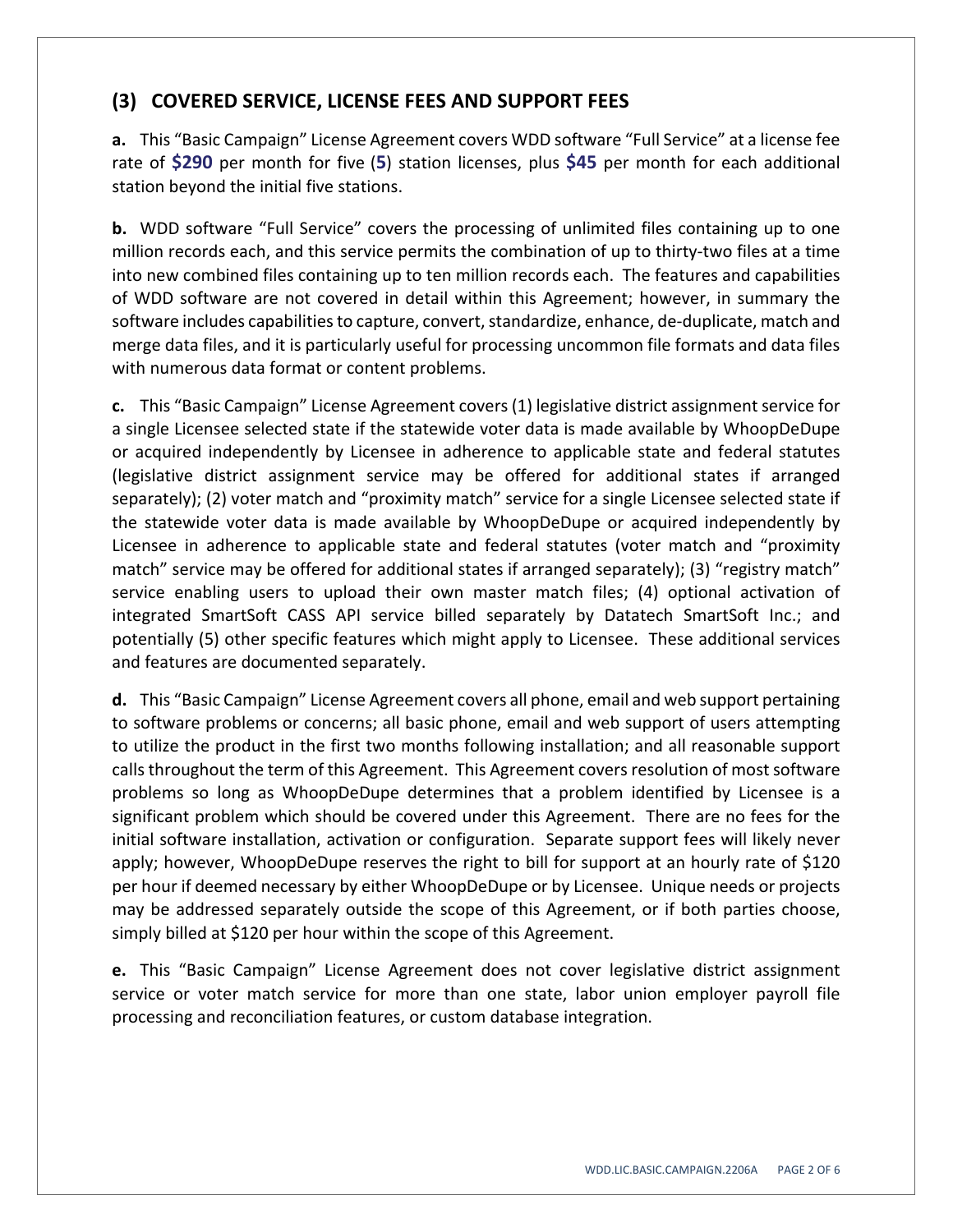## **(3) COVERED SERVICE, LICENSE FEES AND SUPPORT FEES**

**a.** This "Basic Campaign" License Agreement covers WDD software "Full Service" at a license fee rate of **\$290** per month for five (**5**) station licenses, plus **\$45** per month for each additional station beyond the initial five stations.

**b.** WDD software "Full Service" covers the processing of unlimited files containing up to one million records each, and this service permits the combination of up to thirty-two files at a time into new combined files containing up to ten million records each. The features and capabilities of WDD software are not covered in detail within this Agreement; however, in summary the software includes capabilities to capture, convert, standardize, enhance, de-duplicate, match and merge data files, and it is particularly useful for processing uncommon file formats and data files with numerous data format or content problems.

**c.** This "Basic Campaign" License Agreement covers(1) legislative district assignmentservice for a single Licensee selected state if the statewide voter data is made available by WhoopDeDupe or acquired independently by Licensee in adherence to applicable state and federal statutes (legislative district assignment service may be offered for additional states if arranged separately); (2) voter match and "proximity match" service for a single Licensee selected state if the statewide voter data is made available by WhoopDeDupe or acquired independently by Licensee in adherence to applicable state and federal statutes (voter match and "proximity match" service may be offered for additional states if arranged separately); (3) "registry match" service enabling users to upload their own master match files; (4) optional activation of integrated SmartSoft CASS API service billed separately by Datatech SmartSoft Inc.; and potentially (5) other specific features which might apply to Licensee. These additional services and features are documented separately.

**d.** This "Basic Campaign" License Agreement covers all phone, email and web support pertaining to software problems or concerns; all basic phone, email and web support of users attempting to utilize the product in the first two months following installation; and all reasonable support calls throughout the term of this Agreement. This Agreement covers resolution of most software problems so long as WhoopDeDupe determines that a problem identified by Licensee is a significant problem which should be covered under this Agreement. There are no fees for the initial software installation, activation or configuration. Separate support fees will likely never apply; however, WhoopDeDupe reserves the right to bill for support at an hourly rate of \$120 per hour if deemed necessary by either WhoopDeDupe or by Licensee. Unique needs or projects may be addressed separately outside the scope of this Agreement, or if both parties choose, simply billed at \$120 per hour within the scope of this Agreement.

**e.** This "Basic Campaign" License Agreement does not cover legislative district assignment service or voter match service for more than one state, labor union employer payroll file processing and reconciliation features, or custom database integration.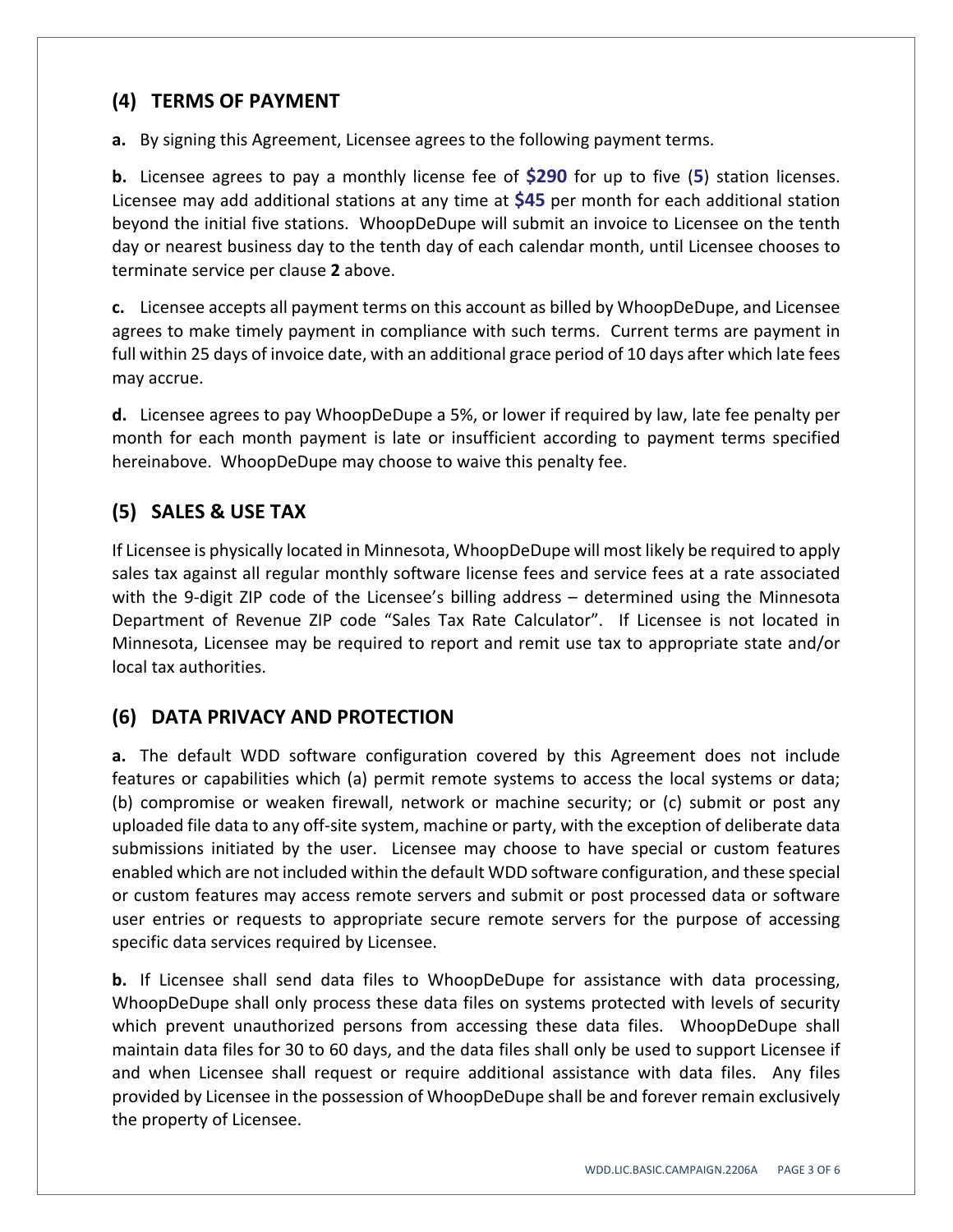#### **(4) TERMS OF PAYMENT**

**a.** By signing this Agreement, Licensee agrees to the following payment terms.

**b.** Licensee agrees to pay a monthly license fee of **\$290** for up to five (**5**) station licenses. Licensee may add additional stations at any time at **\$45** per month for each additional station beyond the initial five stations. WhoopDeDupe will submit an invoice to Licensee on the tenth day or nearest business day to the tenth day of each calendar month, until Licensee chooses to terminate service per clause **2** above.

**c.** Licensee accepts all payment terms on this account as billed by WhoopDeDupe, and Licensee agrees to make timely payment in compliance with such terms. Current terms are payment in full within 25 days of invoice date, with an additional grace period of 10 days after which late fees may accrue.

**d.** Licensee agrees to pay WhoopDeDupe a 5%, or lower if required by law, late fee penalty per month for each month payment is late or insufficient according to payment terms specified hereinabove. WhoopDeDupe may choose to waive this penalty fee.

# **(5) SALES & USE TAX**

If Licensee is physically located in Minnesota, WhoopDeDupe will most likely be required to apply sales tax against all regular monthly software license fees and service fees at a rate associated with the 9-digit ZIP code of the Licensee's billing address – determined using the Minnesota Department of Revenue ZIP code "Sales Tax Rate Calculator". If Licensee is not located in Minnesota, Licensee may be required to report and remit use tax to appropriate state and/or local tax authorities.

## **(6) DATA PRIVACY AND PROTECTION**

**a.** The default WDD software configuration covered by this Agreement does not include features or capabilities which (a) permit remote systems to access the local systems or data; (b) compromise or weaken firewall, network or machine security; or (c) submit or post any uploaded file data to any off‐site system, machine or party, with the exception of deliberate data submissions initiated by the user. Licensee may choose to have special or custom features enabled which are not included within the default WDD software configuration, and these special or custom features may access remote servers and submit or post processed data or software user entries or requests to appropriate secure remote servers for the purpose of accessing specific data services required by Licensee.

**b.** If Licensee shall send data files to WhoopDeDupe for assistance with data processing, WhoopDeDupe shall only process these data files on systems protected with levels of security which prevent unauthorized persons from accessing these data files. WhoopDeDupe shall maintain data files for 30 to 60 days, and the data files shall only be used to support Licensee if and when Licensee shall request or require additional assistance with data files. Any files provided by Licensee in the possession of WhoopDeDupe shall be and forever remain exclusively the property of Licensee.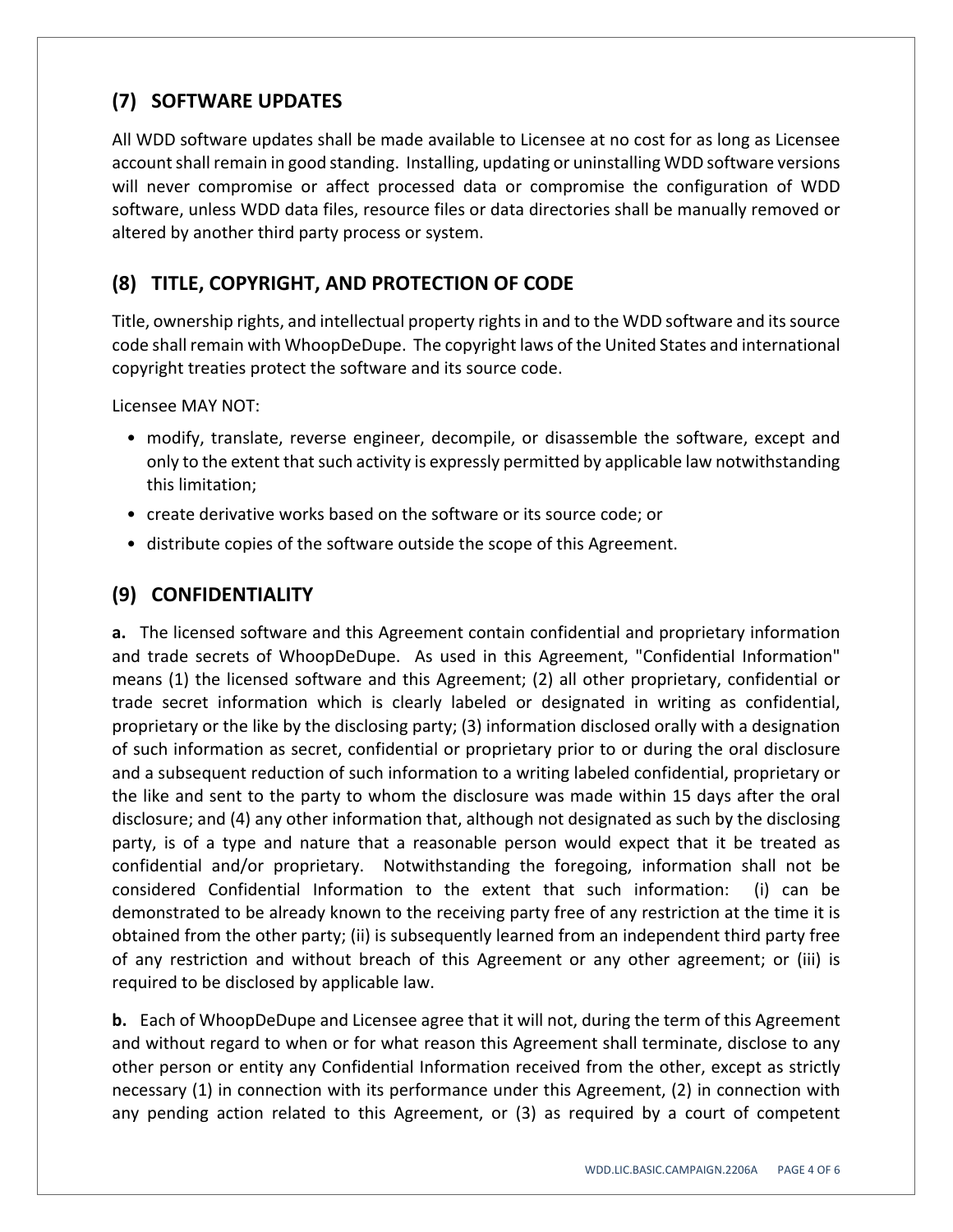# **(7) SOFTWARE UPDATES**

All WDD software updates shall be made available to Licensee at no cost for as long as Licensee account shall remain in good standing. Installing, updating or uninstalling WDD software versions will never compromise or affect processed data or compromise the configuration of WDD software, unless WDD data files, resource files or data directories shall be manually removed or altered by another third party process or system.

## **(8) TITLE, COPYRIGHT, AND PROTECTION OF CODE**

Title, ownership rights, and intellectual property rightsin and to the WDD software and itssource code shall remain with WhoopDeDupe. The copyright laws of the United States and international copyright treaties protect the software and its source code.

Licensee MAY NOT:

- modify, translate, reverse engineer, decompile, or disassemble the software, except and only to the extent that such activity is expressly permitted by applicable law notwithstanding this limitation;
- create derivative works based on the software or its source code; or
- distribute copies of the software outside the scope of this Agreement.

#### **(9) CONFIDENTIALITY**

**a.** The licensed software and this Agreement contain confidential and proprietary information and trade secrets of WhoopDeDupe. As used in this Agreement, "Confidential Information" means (1) the licensed software and this Agreement; (2) all other proprietary, confidential or trade secret information which is clearly labeled or designated in writing as confidential, proprietary or the like by the disclosing party; (3) information disclosed orally with a designation of such information as secret, confidential or proprietary prior to or during the oral disclosure and a subsequent reduction of such information to a writing labeled confidential, proprietary or the like and sent to the party to whom the disclosure was made within 15 days after the oral disclosure; and (4) any other information that, although not designated as such by the disclosing party, is of a type and nature that a reasonable person would expect that it be treated as confidential and/or proprietary. Notwithstanding the foregoing, information shall not be considered Confidential Information to the extent that such information: (i) can be demonstrated to be already known to the receiving party free of any restriction at the time it is obtained from the other party; (ii) is subsequently learned from an independent third party free of any restriction and without breach of this Agreement or any other agreement; or (iii) is required to be disclosed by applicable law.

**b.** Each of WhoopDeDupe and Licensee agree that it will not, during the term of this Agreement and without regard to when or for what reason this Agreement shall terminate, disclose to any other person or entity any Confidential Information received from the other, except as strictly necessary (1) in connection with its performance under this Agreement, (2) in connection with any pending action related to this Agreement, or (3) as required by a court of competent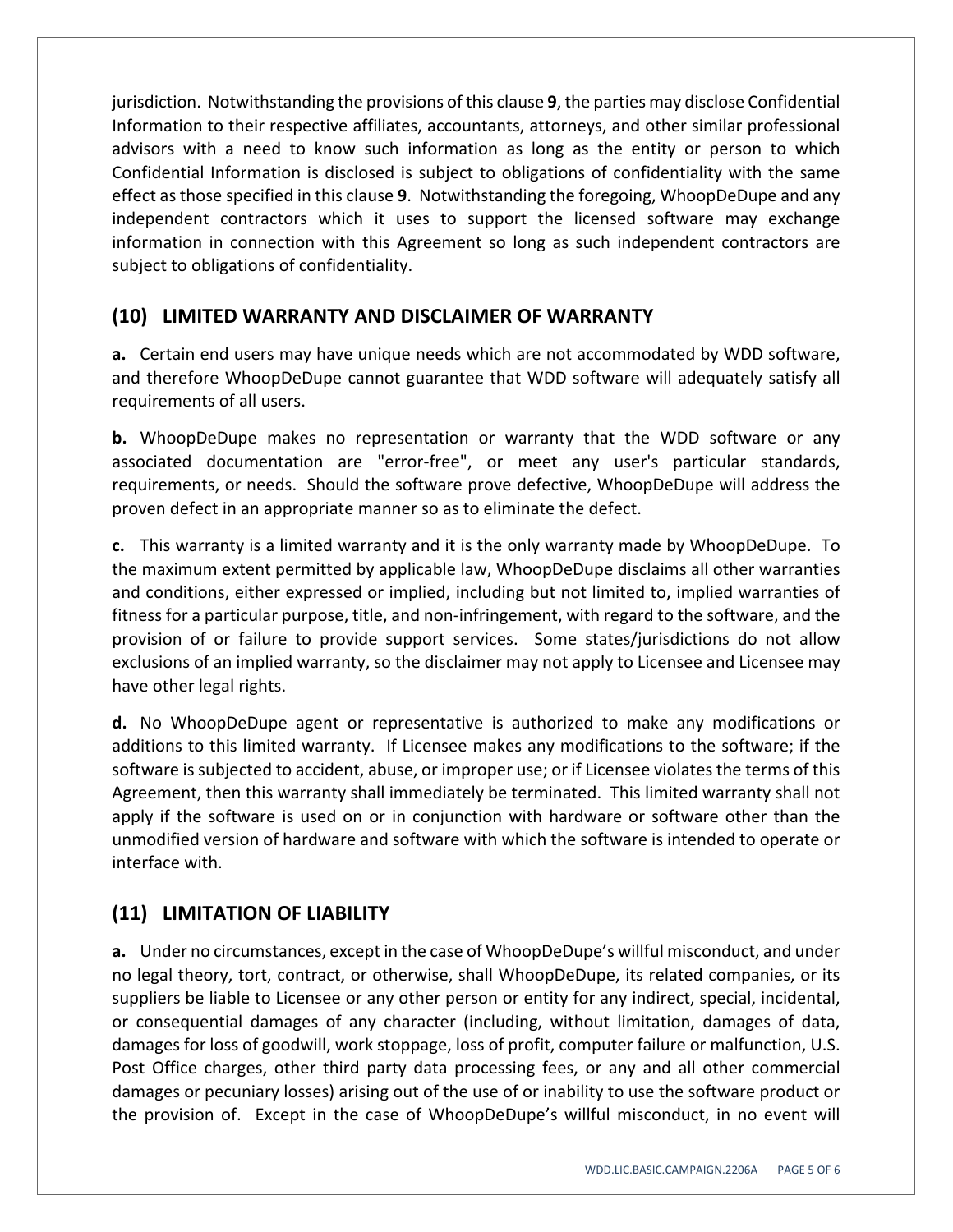jurisdiction. Notwithstanding the provisions of this clause **9**, the parties may disclose Confidential Information to their respective affiliates, accountants, attorneys, and other similar professional advisors with a need to know such information as long as the entity or person to which Confidential Information is disclosed is subject to obligations of confidentiality with the same effect asthose specified in this clause **9**. Notwithstanding the foregoing, WhoopDeDupe and any independent contractors which it uses to support the licensed software may exchange information in connection with this Agreement so long as such independent contractors are subject to obligations of confidentiality.

#### **(10) LIMITED WARRANTY AND DISCLAIMER OF WARRANTY**

**a.** Certain end users may have unique needs which are not accommodated by WDD software, and therefore WhoopDeDupe cannot guarantee that WDD software will adequately satisfy all requirements of all users.

**b.** WhoopDeDupe makes no representation or warranty that the WDD software or any associated documentation are "error-free", or meet any user's particular standards, requirements, or needs. Should the software prove defective, WhoopDeDupe will address the proven defect in an appropriate manner so as to eliminate the defect.

**c.** This warranty is a limited warranty and it is the only warranty made by WhoopDeDupe. To the maximum extent permitted by applicable law, WhoopDeDupe disclaims all other warranties and conditions, either expressed or implied, including but not limited to, implied warranties of fitness for a particular purpose, title, and non‐infringement, with regard to the software, and the provision of or failure to provide support services. Some states/jurisdictions do not allow exclusions of an implied warranty, so the disclaimer may not apply to Licensee and Licensee may have other legal rights.

**d.** No WhoopDeDupe agent or representative is authorized to make any modifications or additions to this limited warranty. If Licensee makes any modifications to the software; if the software is subjected to accident, abuse, or improper use; or if Licensee violates the terms of this Agreement, then this warranty shall immediately be terminated. This limited warranty shall not apply if the software is used on or in conjunction with hardware or software other than the unmodified version of hardware and software with which the software is intended to operate or interface with.

## **(11) LIMITATION OF LIABILITY**

**a.** Under no circumstances, except in the case of WhoopDeDupe's willful misconduct, and under no legal theory, tort, contract, or otherwise, shall WhoopDeDupe, its related companies, or its suppliers be liable to Licensee or any other person or entity for any indirect, special, incidental, or consequential damages of any character (including, without limitation, damages of data, damages for loss of goodwill, work stoppage, loss of profit, computer failure or malfunction, U.S. Post Office charges, other third party data processing fees, or any and all other commercial damages or pecuniary losses) arising out of the use of or inability to use the software product or the provision of. Except in the case of WhoopDeDupe's willful misconduct, in no event will